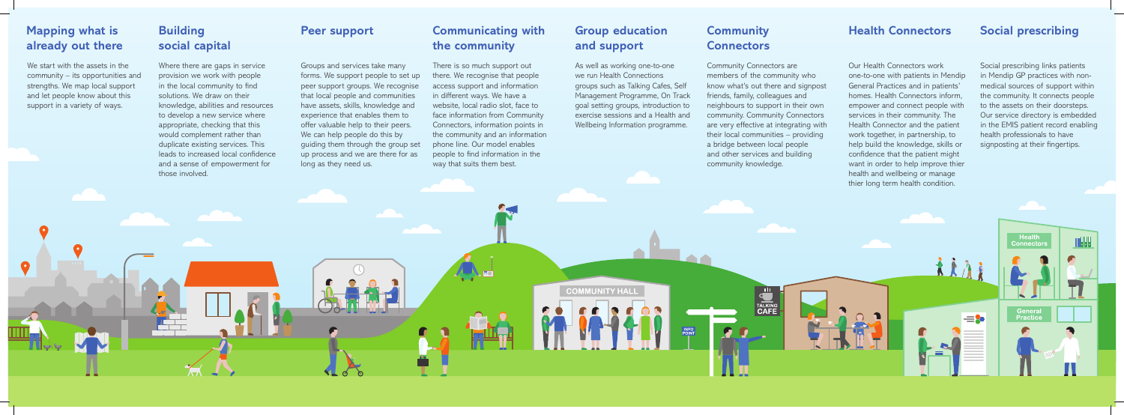We start with the assets in the community – its opportunities and strengths. We map local support and let people know about this support in a variety of ways.

## **Mapping what is already out there**

 $\bullet$ 

Community Connectors are members of the community who know what's out there and signpost friends, family, colleagues and neighbours to support in their own community. Community Connectors are very effective at integrating with their local communities – providing a bridge between local people and other services and building community knowledge.

**TALKING**<br>**CAFE** 

Social prescribing links patients in Mendip GP practices with nonmedical sources of support within the community. It connects people to the assets on their doorsteps. Our service directory is embedded in the EMIS patient record enabling health professionals to have signposting at their fingertips.

Health<br>Connector

General<br>Practice

WHH

## **Community Connectors**

Groups and services take many forms. We support people to set up peer support groups. We recognise that local people and communities have assets, skills, knowledge and experience that enables them to offer valuable help to their peers. We can help people do this by guiding them through the group set up process and we are there for as long as they need us.

#### **Peer support**

#### **Social prescribing**

Where there are gaps in service provision we work with people in the local community to find solutions. We draw on their knowledge, abilities and resources to develop a new service where appropriate, checking that this would complement rather than duplicate existing services. This leads to increased local confidence and a sense of empowerment for those involved.

# **Building social capital**

Our Health Connectors work one-to-one with patients in Mendip General Practices and in patients' homes. Health Connectors inform, empower and connect people with services in their community. The Health Connector and the patient work together, in partnership, to help build the knowledge, skills or confidence that the patient might want in order to help improve thier health and wellbeing or manage thier long term health condition.

#### **Health Connectors**

There is so much support out there. We recognise that people access support and information in different ways. We have a website, local radio slot, face to face information from Community Connectors, information points in the community and an information phone line. Our model enables people to find information in the way that suits them best.

**COMMUNITY HALL** 

As well as working one-to-one we run Health Connections groups such as Talking Cafes, Self Management Programme, On Track goal setting groups, introduction to exercise sessions and a Health and Wellbeing Information programme.

# **Communicating with the community**

## **Group education and support**